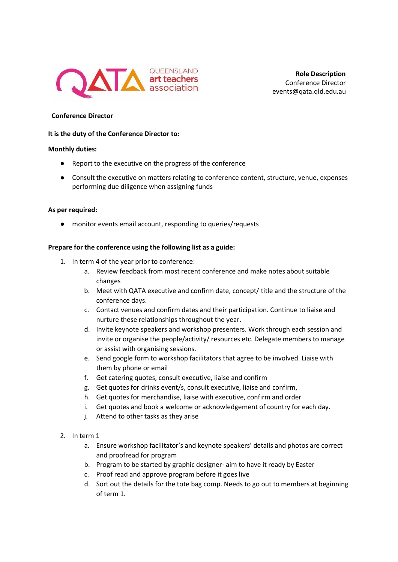

**Role Description** Conference Director events@qata.qld.edu.au

# **Conference Director**

### **It is the duty of the Conference Director to:**

#### **Monthly duties:**

- Report to the executive on the progress of the conference
- Consult the executive on matters relating to conference content, structure, venue, expenses performing due diligence when assigning funds

#### **As per required:**

● monitor events email account, responding to queries/requests

## **Prepare for the conference using the following list as a guide:**

- 1. In term 4 of the year prior to conference:
	- a. Review feedback from most recent conference and make notes about suitable changes
	- b. Meet with QATA executive and confirm date, concept/ title and the structure of the conference days.
	- c. Contact venues and confirm dates and their participation. Continue to liaise and nurture these relationships throughout the year.
	- d. Invite keynote speakers and workshop presenters. Work through each session and invite or organise the people/activity/ resources etc. Delegate members to manage or assist with organising sessions.
	- e. Send google form to workshop facilitators that agree to be involved. Liaise with them by phone or email
	- f. Get catering quotes, consult executive, liaise and confirm
	- g. Get quotes for drinks event/s, consult executive, liaise and confirm,
	- h. Get quotes for merchandise, liaise with executive, confirm and order
	- i. Get quotes and book a welcome or acknowledgement of country for each day.
	- j. Attend to other tasks as they arise
- 2. In term 1
	- a. Ensure workshop facilitator's and keynote speakers' details and photos are correct and proofread for program
	- b. Program to be started by graphic designer- aim to have it ready by Easter
	- c. Proof read and approve program before it goes live
	- d. Sort out the details for the tote bag comp. Needs to go out to members at beginning of term 1.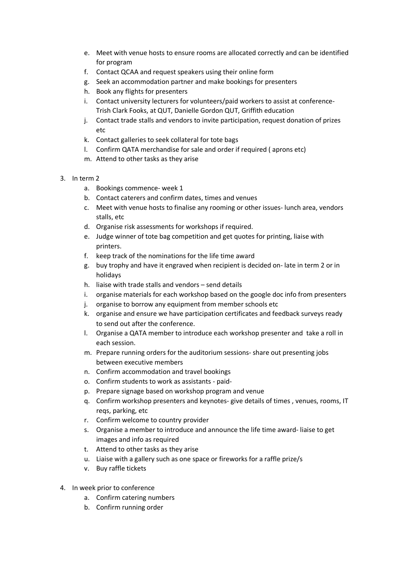- e. Meet with venue hosts to ensure rooms are allocated correctly and can be identified for program
- f. Contact QCAA and request speakers using their online form
- g. Seek an accommodation partner and make bookings for presenters
- h. Book any flights for presenters
- i. Contact university lecturers for volunteers/paid workers to assist at conference-Trish Clark Fooks, at QUT, Danielle Gordon QUT, Griffith education
- j. Contact trade stalls and vendors to invite participation, request donation of prizes etc
- k. Contact galleries to seek collateral for tote bags
- l. Confirm QATA merchandise for sale and order if required ( aprons etc)
- m. Attend to other tasks as they arise
- 3. In term 2
	- a. Bookings commence- week 1
	- b. Contact caterers and confirm dates, times and venues
	- c. Meet with venue hosts to finalise any rooming or other issues- lunch area, vendors stalls, etc
	- d. Organise risk assessments for workshops if required.
	- e. Judge winner of tote bag competition and get quotes for printing, liaise with printers.
	- f. keep track of the nominations for the life time award
	- g. buy trophy and have it engraved when recipient is decided on- late in term 2 or in holidays
	- h. liaise with trade stalls and vendors send details
	- i. organise materials for each workshop based on the google doc info from presenters
	- j. organise to borrow any equipment from member schools etc
	- k. organise and ensure we have participation certificates and feedback surveys ready to send out after the conference.
	- l. Organise a QATA member to introduce each workshop presenter and take a roll in each session.
	- m. Prepare running orders for the auditorium sessions- share out presenting jobs between executive members
	- n. Confirm accommodation and travel bookings
	- o. Confirm students to work as assistants paid-
	- p. Prepare signage based on workshop program and venue
	- q. Confirm workshop presenters and keynotes- give details of times , venues, rooms, IT reqs, parking, etc
	- r. Confirm welcome to country provider
	- s. Organise a member to introduce and announce the life time award- liaise to get images and info as required
	- t. Attend to other tasks as they arise
	- u. Liaise with a gallery such as one space or fireworks for a raffle prize/s
	- v. Buy raffle tickets
- 4. In week prior to conference
	- a. Confirm catering numbers
	- b. Confirm running order